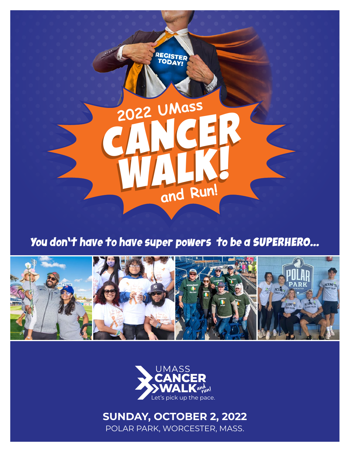

## You don't have to have super powers to be a SUPERHERO...





## **SUNDAY, OCTOBER 2, 2022**

POLAR PARK, WORCESTER, MASS.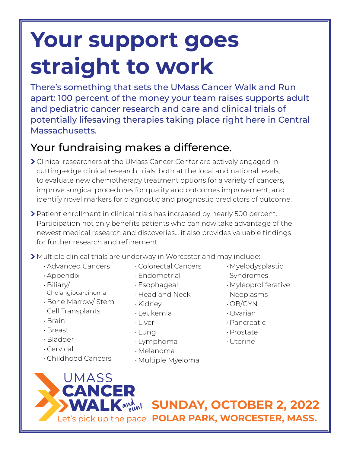## **Your support goes straight to work**

There's something that sets the UMass Cancer Walk and Run apart: 100 percent of the money your team raises supports adult and pediatric cancer research and care and clinical trials of potentially lifesaving therapies taking place right here in Central Massachusetts.

## Your fundraising makes a difference.

- Clinical researchers at the UMass Cancer Center are actively engaged in cutting-edge clinical research trials, both at the local and national levels, to evaluate new chemotherapy treatment options for a variety of cancers, improve surgical procedures for quality and outcomes improvement, and identify novel markers for diagnostic and prognostic predictors of outcome.
- Patient enrollment in clinical trials has increased by nearly 500 percent. Participation not only benefits patients who can now take advantage of the newest medical research and discoveries… it also provides valuable findings for further research and refinement.
- Multiple clinical trials are underway in Worcester and may include:
	- Advanced Cancers
	- Appendix
	- Biliary/
	- Cholangiocarcinoma • Bone Marrow/ Stem
	- Cell Transplants
	- Brain
	- Breast
	- Bladder
	- Cervical
	- Childhood Cancers
- Colorectal Cancers
- Endometrial
- 
- Head and Neck
- 
- Leukemia
- 
- Lung
- Lymphoma
- Melanoma
- Multiple Myeloma
- Myelodysplastic Syndromes
- Myleoproliferative Neoplasms
- OB/GYN
- Ovarian
- Pancreatic
- Prostate
- Uterine

**UMASS CANCER** 

**WALK** AVAN SUNDAY, OCTOBER 2, 2022 Let's pick up the pace. POLAR PARK, WORCESTER, MASS.

- Esophageal
- 
- Kidney
- 
- Liver
-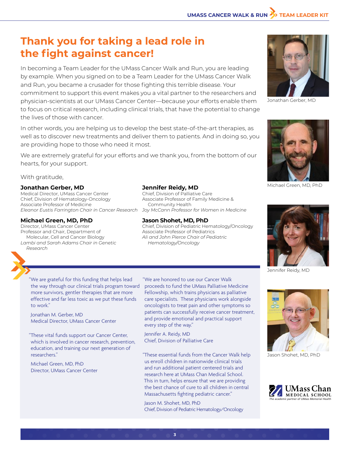### **Thank you for taking a lead role in the fight against cancer!**

In becoming a Team Leader for the UMass Cancer Walk and Run, you are leading by example. When you signed on to be a Team Leader for the UMass Cancer Walk and Run, you became a crusader for those fighting this terrible disease. Your commitment to support this event makes you a vital partner to the researchers and physician-scientists at our UMass Cancer Center—because your efforts enable them to focus on critical research, including clinical trials, that have the potential to change the lives of those with cancer.

In other words, you are helping us to develop the best state-of-the-art therapies, as well as to discover new treatments and deliver them to patients. And in doing so, you are providing hope to those who need it most.

We are extremely grateful for your efforts and we thank you, from the bottom of our hearts, for your support.

With gratitude,

#### **Jonathan Gerber, MD**

Medical Director, UMass Cancer Center Chief, Division of Hematology-Oncology Associate Professor of Medicine *Eleanor Eustis Farrington Chair in Cancer Research Joy McCann Professor for Women in Medicine*

#### **Michael Green, MD, PhD**

Director, UMass Cancer Center Professor and Chair, Department of Molecular, Cell and Cancer Biology *Lambi and Sarah Adams Chair in Genetic Research*

#### **Jennifer Reidy, MD**

Chief, Division of Palliative Care Associate Professor of Family Medicine & Community Health

#### **Jason Shohet, MD, PhD**

Chief, Division of Pediatric Hematology/Oncology Associate Professor of Pediatrics *Ali and John Pierce Chair of Pediatric Hematology/Oncology*



Jonathan M. Gerber, MD Medical Director, UMass Cancer Center

"These vital funds support our Cancer Center, which is involved in cancer research, prevention, education, and training our next generation of researchers."

Michael Green, MD, PhD Director, UMass Cancer Center "We are honored to use our Cancer Walk proceeds to fund the UMass Palliative Medicine Fellowship, which trains physicians as palliative care specialists. These physicians work alongside oncologists to treat pain and other symptoms so patients can successfully receive cancer treatment, and provide emotional and practical support every step of the way."

Jennifer A. Reidy, MD Chief, Division of Palliative Care

**3**

"These essential funds from the Cancer Walk help us enroll children in nationwide clinical trials and run additional patient centered trials and research here at UMass Chan Medical School. This in turn, helps ensure that we are providing the best chance of cure to all children in central Massachusetts fighting pediatric cancer."

Jason M. Shohet, MD, PhD Chief, Division of Pediatric Hematology/Oncology



Jonathan Gerber, MD



Michael Green, MD, PhD



Jennifer Reidy, MD



Jason Shohet, MD, PhD

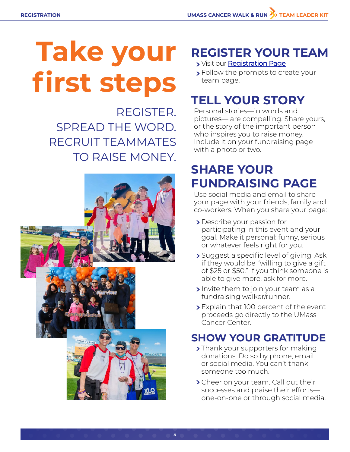# **Take your first steps**

REGISTER. SPREAD THE WORD. RECRUIT TEAMMATES TO RAISE MONEY.



## **REGISTER YOUR TEAM**

- > Visit our [Registration Page](https://support.umasscancerwalk.org/event/2022-umass-cancer-walk-and-run/e385001)
- > Follow the prompts to create your team page.

## **TELL YOUR STORY**

Personal stories—in words and pictures— are compelling. Share yours, or the story of the important person who inspires you to raise money. Include it on your fundraising page with a photo or two.

## **SHARE YOUR FUNDRAISING PAGE**

Use social media and email to share your page with your friends, family and co-workers. When you share your page:

- **>** Describe your passion for participating in this event and your goal. Make it personal: funny, serious or whatever feels right for you.
- **>** Suggest a specific level of giving. Ask if they would be "willing to give a gift of \$25 or \$50." If you think someone is able to give more, ask for more.
- Invite them to join your team as a fundraising walker/runner.
- > Explain that 100 percent of the event proceeds go directly to the UMass Cancer Center.

## **SHOW YOUR GRATITUDE**

- > Thank your supporters for making donations. Do so by phone, email or social media. You can't thank someone too much.
- > Cheer on your team. Call out their successes and praise their efforts one-on-one or through social media.

**4**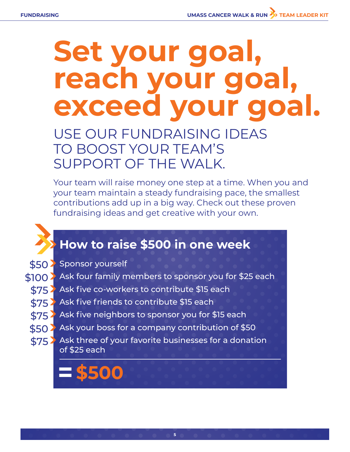## **Set your goal, reach your goal, exceed your goal.**

USE OUR FUNDRAISING IDEAS TO BOOST YOUR TEAM'S SUPPORT OF THE WAI K.

Your team will raise money one step at a time. When you and your team maintain a steady fundraising pace, the smallest contributions add up in a big way. Check out these proven fundraising ideas and get creative with your own.

## **How to raise \$500 in one week**

\$50 > Sponsor yourself

- Ask four family members to sponsor you for \$25 each \$100
	- Ask five co-workers to contribute \$15 each \$75
	- Ask five friends to contribute \$15 each \$75
	- Ask five neighbors to sponsor you for \$15 each \$75
	- $\$50$   $>$  Ask your boss for a company contribution of  $\$50$
	- $$75$  Ask three of your favorite businesses for a donation of \$25 each

**5**

**=\$500**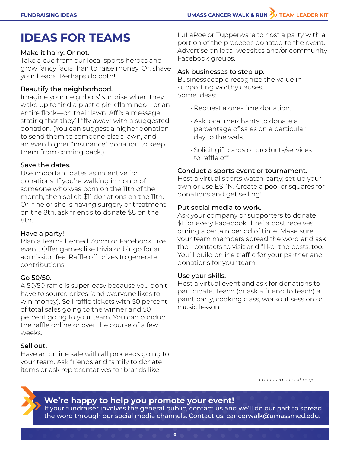## **IDEAS FOR TEAMS**

#### Make it hairy. Or not.

Take a cue from our local sports heroes and grow fancy facial hair to raise money. Or, shave your heads. Perhaps do both!

#### Beautify the neighborhood.

Imagine your neighbors' surprise when they wake up to find a plastic pink flamingo—or an entire flock—on their lawn. Affix a message stating that they'll "fly away" with a suggested donation. (You can suggest a higher donation to send them to someone else's lawn, and an even higher "insurance" donation to keep them from coming back.)

#### Save the dates.

Use important dates as incentive for donations. If you're walking in honor of someone who was born on the 11th of the month, then solicit \$11 donations on the 11th. Or if he or she is having surgery or treatment on the 8th, ask friends to donate \$8 on the 8th.

#### Have a party!

Plan a team-themed Zoom or Facebook Live event. Offer games like trivia or bingo for an admission fee. Raffle off prizes to generate contributions.

#### Go 50/50.

A 50/50 raffle is super-easy because you don't have to source prizes (and everyone likes to win money). Sell raffle tickets with 50 percent of total sales going to the winner and 50 percent going to your team. You can conduct the raffle online or over the course of a few weeks.

#### Sell out.

Have an online sale with all proceeds going to your team. Ask friends and family to donate items or ask representatives for brands like

LuLaRoe or Tupperware to host a party with a portion of the proceeds donated to the event. Advertise on local websites and/or community Facebook groups.

#### Ask businesses to step up.

Businesspeople recognize the value in supporting worthy causes. Some ideas:

- Request a one-time donation.
- Ask local merchants to donate a percentage of sales on a particular day to the walk.
- Solicit gift cards or products/services to raffle off.

#### Conduct a sports event or tournament.

Host a virtual sports watch party; set up your own or use ESPN. Create a pool or squares for donations and get selling!

#### Put social media to work.

Ask your company or supporters to donate \$1 for every Facebook "like" a post receives during a certain period of time. Make sure your team members spread the word and ask their contacts to visit and "like" the posts, too. You'll build online traffic for your partner and donations for your team.

#### Use your skills.

Host a virtual event and ask for donations to participate. Teach (or ask a friend to teach) a paint party, cooking class, workout session or music lesson.

*Continued on next page.*



#### **We're happy to help you promote your event!**

If your fundraiser involves the general public, contact us and we'll do our part to spread the word through our social media channels. Contact us: cancerwalk@umassmed.edu.

**6**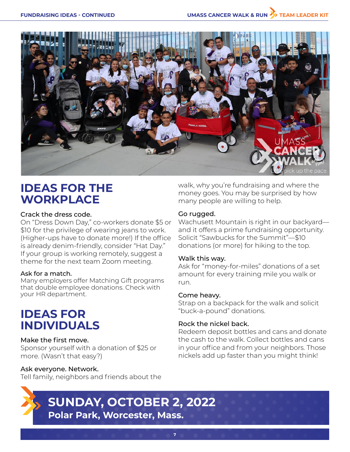

### **IDEAS FOR THE WORKPLACE**

#### Crack the dress code.

On "Dress Down Day," co-workers donate \$5 or \$10 for the privilege of wearing jeans to work. (Higher-ups have to donate more!) If the office is already denim-friendly, consider "Hat Day." If your group is working remotely, suggest a theme for the next team Zoom meeting.

#### Ask for a match.

Many employers offer Matching Gift programs that double employee donations. Check with your HR department.

### **IDEAS FOR INDIVIDUALS**

#### Make the first move.

Sponsor yourself with a donation of \$25 or more. (Wasn't that easy?)

#### Ask everyone. Network.

Tell family, neighbors and friends about the



## **SUNDAY, OCTOBER 2, 2022 Polar Park, Worcester, Mass.**

**7**

walk, why you're fundraising and where the money goes. You may be surprised by how many people are willing to help.

#### Go rugged.

Wachusett Mountain is right in our backyard and it offers a prime fundraising opportunity. Solicit "Sawbucks for the Summit"—\$10 donations (or more) for hiking to the top.

#### Walk this way.

Ask for "money-for-miles" donations of a set amount for every training mile you walk or run.

#### Come heavy.

Strap on a backpack for the walk and solicit "buck-a-pound" donations.

#### Rock the nickel back.

Redeem deposit bottles and cans and donate the cash to the walk. Collect bottles and cans in your office and from your neighbors. Those nickels add up faster than you might think!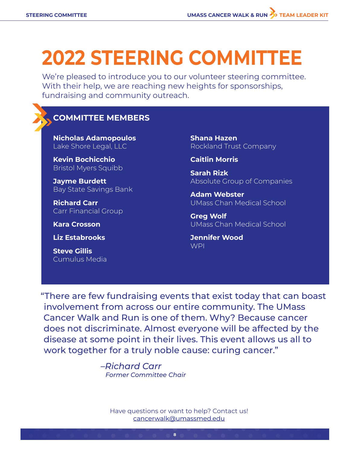## **2022 STEERING COMMITTEE**

We're pleased to introduce you to our volunteer steering committee. With their help, we are reaching new heights for sponsorships, fundraising and community outreach.

#### **COMMITTEE MEMBERS**

**Nicholas Adamopoulos** Lake Shore Legal, LLC

**Kevin Bochicchio** Bristol Myers Squibb

**Jayme Burdett** Bay State Savings Bank

**Richard Carr** Carr Financial Group

**Kara Crosson**

**Liz Estabrooks**

**Steve Gillis** Cumulus Media **Shana Hazen** Rockland Trust Company

**Caitlin Morris**

**Sarah Rizk** Absolute Group of Companies

**Adam Webster** UMass Chan Medical School

**Greg Wolf** UMass Chan Medical School

**Jennifer Wood** WPI

"There are few fundraising events that exist today that can boast involvement from across our entire community. The UMass Cancer Walk and Run is one of them. Why? Because cancer does not discriminate. Almost everyone will be affected by the disease at some point in their lives. This event allows us all to work together for a truly noble cause: curing cancer."

> *–Richard Carr Former Committee Chair*

> > Have questions or want to help? Contact us! [cancerwalk@umassmed.edu](mailto:cancerwalk%40umassmed.edu?subject=)

> > > **8**